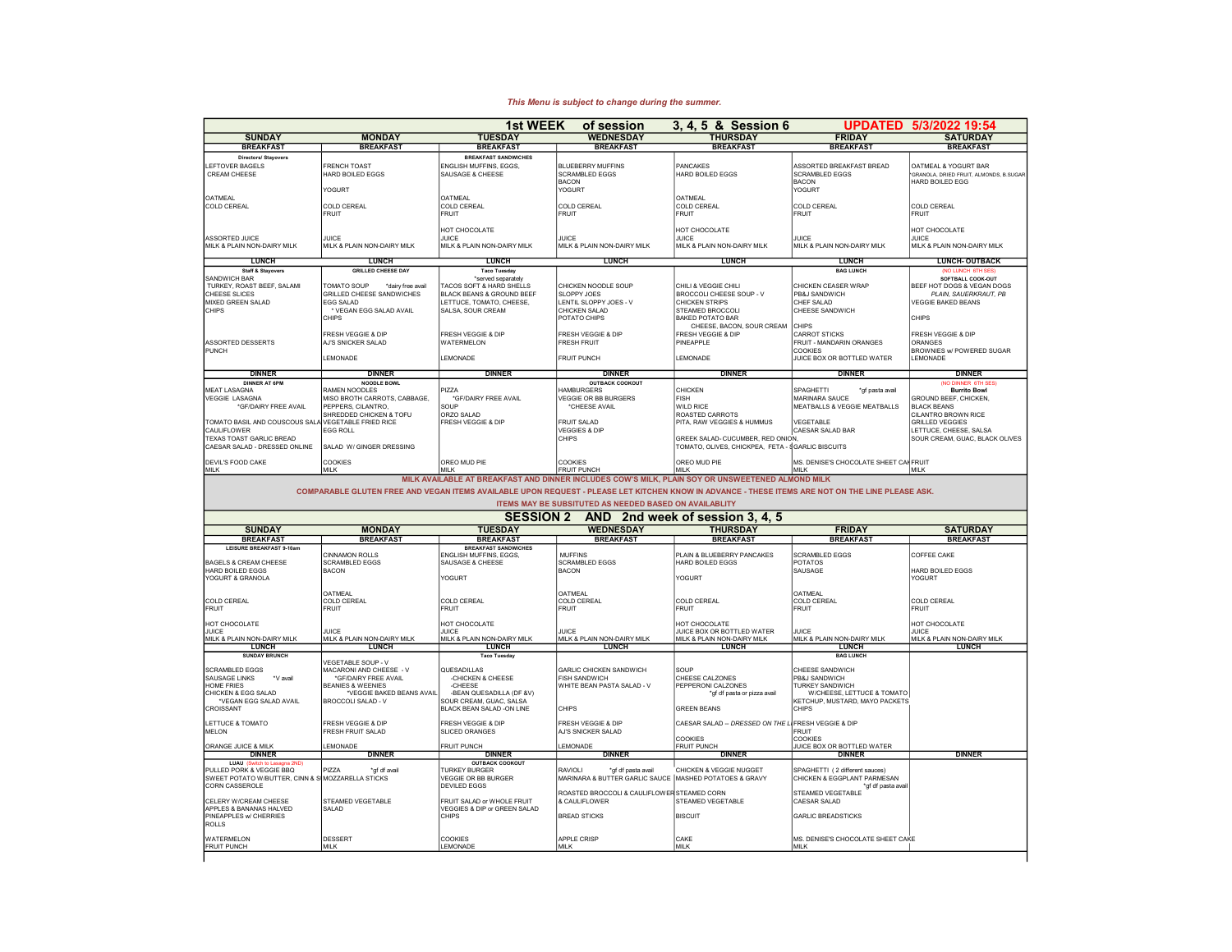## UPDATED 5/3/2022 19:54 SUNDAY MONDAY TUESDAY WEDNESDAY THURSDAY FRIDAY SATURDAY BREAKFAST | BREAKFAST | BREAKFAST | BREAKFAST BREAKFAST BREAKFAST BREAKFAST BREAKFAST BREAKFAST BREAKFAST BREAKFAST Directors/ Stayovers BREAKFAST SANDWICHES LEFTOVER BAGELS FRENCH TOAST ENGLISH MUFFINS, EGGS, BLUEBERRY MUFFINS PANCAKES ASSORTED BREAKFAST BREAD OATMEAL & YOGURT BARREAR CREAM CHEESE HARD BOILED EGGS SAUSAGE & CHEESE SCRAMBLED EGGS HARD BOILED EGGS SAUSAR SCRAMBLED EGGS SAUSAR SAUGAR SURAMBLED EGGS THARD BOILED EGGS SURAMBLED EGGS THARD BOLLED EGG NORTH THARD BOILED EGG THARD BOILED EGG THARD BOILED EGG THARD BOILED EGG THARD BOILED EGG YOGURT YOGURT YOGURT OATMEAL OATMEAL OATMEAL COLD CEREAL COLD CEREAL COLD CEREAL COLD CEREAL COLD CEREAL COLD CEREAL COLD CEREAL FRUIT FRUIT FRUIT FRUIT FRUIT FRUIT FRUIT FRUIT FRUIT FRUIT FRUIT FRUIT FRUIT FRUIT HOT CHOCOLATE **HOT CHOCOLATE** HOT CHOCOLATE **HOT CHOCOLATE** HOT CHOCOLATE **HOT CHOCOLATE** ASSORTED JUICE ASSORTED JUICE ASSORTED JUICE ASSORTED JUICE ASSORTED JUICE ASSORTED JUICE AND LUICE AND JUICE MILK & PLAIN NON-DAIRY MILK MILK & PLAIN NON-DAIRY MILK MILK & PLAIN NON-DAIRY MILK MILK & PLAIN NON-DAIRY MILK MILK & PLAIN NON-DAIRY MILK MILK & PLAIN NON-DAIRY MILK MILK & PLAIN NON-DAIRY MILK LUNCH LUNCH LUNCH LUNCH LUNCH LUNCH LUNCH- OUTBACK Staff & Stayovers GRILLED CHEESE DAY Taco Tuesday BAG LUNCH (NO LUNCH 6TH SES) SANDWICH BAR TRANSPORT (NOTE ALL COOK-OUT SERVER SERVER SERVER SERVER SERVER SERVER SERVER SERVER SERVER SERVER SERVER SERVER SERVER SERVER SERVER SERVER SERVER SERVER SOFTBALL COOK-OUT SOFTBALL COOK-OUT SOFTBALL COOK-OUT TURKEY, ROAST BEEF, SALAMI TOMATO SOUP \*dairy free avail TACOS SOFT & HARD SHELLS |CHICKEN NOODLE SOUP |CHILI & VEGGIE CHILI<br>CHECK SUCES CHICKER CHICKES AND DURING AN ENGINE AND SECTION OF THE SUCCOLICHESES OUP -VAN PRAJIS CHER (GRULED CHERE ANDWICHES NOT LETTUCE, TOUREN (BACCOLICHES ES DES PRODUCH) PLAN SAUERKAUT, PRODUCH (PLAN) SAUERKAUT, PRODUCH<br>INXED GREEN SALAD (EGG SALAD BEANS LETTUCE, TOMATO, CHEESE, LENTIL SLOPPYJOES - V CHICKEN STR CHIPS TEAMED BROCCOLI CHEESE SAND AVAIL SALSA, SOUR CREAM CHICKEN SALAD CHICKEN SALAD STEAMED BROCCOLI CHEESE SANDWICH<br>CHIPS CHIPS CHEESE SANDWICH CHIPS POTATO CHIPS BAKED POTATO BAR CHIPS CHEESE, BACON, SOUR CREAM CHIPS<br>FRESH VEGGIE & DIP FRESH VEGGIE & DIP FRESH VEGGIE & DIP FRESH VEGGIE & DIP FRESH VEGGIE & DIP CARROT STICKS FRESH VEGGIE & DIP ASSORTED DESSERTS AJ'S SNICKER SALAD WATERMELON FRESH FRUIT - HILLORED PINEAPPLE FRUIT - MANDARIN ORANGES PRUI<br>PINCH DESSERTS AJ'S SNICKER SALAD WATERMELON FRESH FRUIT - MANDARIN PINEAPPLE - MANDARIN ORANGES PROWNIES PROV<br> PUNCH COOKIES BROWNIES W/ POWERED SUGAR (COOKIES DESCRIPTION OF DESCRIPTION OF DESCRIPTION OF DESCRIPTION OF DE LEMONADE LEMONADE FRUIT PUNCH LEMONADE LEMONADE LEMONADE LEMONADE LEMONADE LEMONADE LEMONADE DINNER DINNER DINNER DINNER DINNER DINNER DINNER DINNER AT 6PM NOODLE BOWL NOODLE BOWL NOT HELD OUTBACK COOKOUT NOT HELD AT LOT OUTBACK COOKOUT NOT HELD AT LOT OUTBACK COOKOUT NOT HELD AT LOT OUTBACK COOKOUT NOT HELD AT LOT OUTBACK COOKOUT NOT HELD AT LOT OUTBACK COOKOUT MEAT LASAGNA RAMEN NOODLES PIZZA HAMBURGERS CHICKEN SPAGHETTI \*gf pasta avail Burrito Bowl WEGGIE LASAGNA MISO BROTH CARROTS, CABBAGE, "CELOLING THE VEGGIE OR BB BURGERS FISH MARINARA SAUCE MARINARA SAUCE (SAGOUND BEEF, CHICKEN, THE COLLECTION CHICKEN, THE COLLECTION OF COLLECTION CHECKEN, THE COLLECTION CHECKEN \*GF/DAIRY FREE AVAIL PEPPERS, CILANTRO, SOUP \*CHEESE AVAIL WILD RICE MEATBALLS & VEGGIE MEATBALLS BLACK BEANS SHREDDED CHICKEN & TOFU ORZO SALAD<br>FEGETABLE FRED RICE PRESH VEGGIE & DIP FRUIT SALAD PITA, RAW VEGGIES & HUMMUS VEGETABLE<br>FEGETABLE FRED RICE PRESH VEGGIE & DIP FRUIT SALAD PITA, RAW VEGGIES & HUMMUS VEGETABLE TOMATO BASIL AND COUSCOUS SALA VEGETABLE FRIED RICE FRESH VEGGIE & DIP FRUIT SALAD PITA, RAW VEGGIES & HUMMUS VEGETABLE<br>CAULFLOWER FRIED RICES ROLL (CAESAR SALAD BAR) (CAESAR SALAD COLL VEGGIES & DIP VEGGIES & DIP GREEK SA CAULIFLOWER CALLER CAULIFLOWER CAULIFLOWER CAULIFLOWER CAULIFLOWER CAULIFLOWER CAULIFLOWER CAULIFLOWER CAULIFLOWER CAULIFLOWER CAULIFLOWER CAULIFLOWER CAULIFLOWER CAULIFLOWER CAULIFLOWER CAULIFLOWER CAUCIFLOWER CAULIFLOW C TEXAS TO BREAD THE CHIPS CONTROL CHIPS CONTROL CHIPS CONTROL CHIPS CONTROL CHIPS CONTROL CHIPS CONTROL CHIPS CONTROL CHIPS CONTROL CHIPS CONTROL CHIPS CONTROL CHIPS CONTROL CHIPS CONTROL CHIPS CONTROL CHIPS CONTROL CHIPS C TOMATO, OLIVES, CHICKPEA, FETA - SGARLIC BISCUITS DEVIL'S FOOD CAKE COOKIES OREO MUD PIE COOKIES OREO MUD PIE MS. DENISE'S CHOCOLATE SHEET CAKE FRUIT MILK MILK MILK FRUIT PUNCH MILK MILK MILK SUNDAY MONDAY TUESDAY WEDNESDAY THURSDAY FRIDAY SATURDAY BREAKFAST | BREAKFAST | BREAKFAST | BREAKFAST | BREAKFAST | BREAKFAST | BREAKFAST | BREAKFAST | BREAKFAST LEISURE BREAKFAST 9-10am BREAKFAST SANDWICHES CINNAMON ROLLS ENGLISH MUFFINS, EGGS, MUFFINS PLAIN & BLUEBERRY PANCAKES SCRAMBLED EGGS COFFEE CAKE BAGELS & CREAM CHEESE SCRAMBLED EGGS SAUSAGE & CHEESE SACRAMBLED EGGS SAUSAGE ARE ARRIVED EGGS SAUSAGE A SAUSAGE & CHEESE SACRAMBLED EGGS SAUSAGE ARRIVED EGGS SAUSAGE ARRIVED EGGS SAUSAGE ARRIVED EGGS SAUSS AND A SALIGN AN HARD BOILED EGGS BACON BACON SAUSAGE HARD BOILED EGGS YOGURT & GRANOLA YOGURT YOGURT YOGURT OATMEAL OATMEAL OATMEAL COLD CEREAL COLD CEREAL COLD CEREAL COLD CEREAL COLD CEREAL COLD CEREAL COLD CEREAL FRUIT FRUIT FRUIT FRUIT FRUIT FRUIT FRUIT HOT CHOCOLATE AND RESERVE HOT CHOCOLATE A LOCAL HOT CHOCOLATE HOT CHOCOLATE HOT CHOCOLATE HOT CHOCOLATE HOT CHOCOLATE JUICE JUICE VOOR HET VOOR DE VOOR DE VOOR DE VOOR DE VOOR DE VOOR DE VOOR DE VOOR DE VOOR DE VOOR DE VOOR DE V<br>DE VOORBOTTLED WATER JUICE DE VOORBOTTLED WATER JUICE DE VOORBOTTLED WATER JUICE DE VOORBOTTLED WATER JUICE DE<br> MILK & PLAIN NON-DAIRY MILK MILK & PLAIN NON-DAIRY MILK MILK & PLAIN NON-DAIRY MILK MILK & PLAIN NON-DAIRY MILK MILK & PLAIN NON-DAIRY MILK MILK & PLAIN NON-DAIRY MILK MILK & PLAIN NON-DAIRY MILK LUNCH LUNCH LUNCH LUNCH LUNCH LUNCH LUNCH SUNDAY BRUNCH BAG LUNCH Taco Tuesday Taco Tuesday Taco Tuesday Taco Tuesday BAG LUNCH VEGETABLE SOUP - V<br>MACARONI AND CHEESE - V SCRAMBLED EGGS MACARONI AND CHEESE - V QUESADILLAS GARLIC CHICKEN SANDWICH SOUP CHEESE SANDWICH SAUSA SAUSAND AVAIL AVAIL AND THE SAUSAND THE SAUSAND FISH SANDWICH CHEESE CALZONES NAMAGE TRIES TO THE SERVICE ON THE SALAD MUNICIPAL TRIES ON THE SALAD CHEESE CALZONES TO PRAJA SANDWICH SALAD UNITE BEAN PASTA SALAD VIOLETS ON TURKEY SANDWICH SANDWICH SANDWICH SANDWICH SANDWICH SANDWICH SANDWICH SANDWICH CHICKEN & EGG SALAD \*VEGGIE BAKED BEANS AVAIL | -BEAN QUESADILLA (DF &V) | \*or to the state or pizza avail | W/CHEESE, LETTUCE & TOMATO \*VEGAN EGG SALAD AVAIL BROCCOLI SALAD - V SOUR CREAM, GUAC, SALSA KETCHUP, MUSTARD, MAYO PACKETS CROISSANT BLACK BEAN SALAD -ON LINE CHIPS GREEN BEANS CHIPS LETTUCE & TOMATO FRESH VEGGIE & DIP FRESH VEGGIE & DIP FRESH VEGGIE & DIP CAESAR SALAD -- DRESSED ON THE LIFRESH VEGGIE & DIP<br>INELON FRESH FRUIT SALAD SLICED ORANGES AND SALAD AN'S SNICKER SALAD MELON FRESH FRUIT SALAD SALAD SENIGED ORANGES ALAD A SINCKER SALAD SALAD FRUIT FRUIT COOKIES COOKIES COOKIES COOKIES COOKIES ORANGE JUICE BOX OR BOTTLED VATER THE MONADE FRUIT PUNCH LEMONADE FRUIT PUNCH THE TRUIT PUNCH DINNER THEORY OR<br>In the state of the state of the state of the state of the state of the state of the state of the state of the<br> DINNER DINNER DINNER DINNER DINNER DINNER DINNER LUAU (Switch to Lasagna 2ND)<br>
DUILED PORK & VEGGIE BBQ<br>
PIZZA 
<sup>2</sup>gf df avail TURKEY BURGER<br>
TURKEY BURGER PULLED PORK VEGGIE BBQ PUZZA TOT DE TURKEY BURGER VON DE VOLULED TOT DE AVAIL DE VEGGIE NUGGET DE SPAGHETTI (2 different sauces) SPAGHETTI (2 different sauces) SPAGHET DE VEGER AVAIL DE VEGGIE DE VEGER DE VEGER DE VEGER DE **1st WEEK of session 3, 4, 5 & Session 6**<br>TUESDAY WEDNESDAY THURSDAY MILK AVAILABLE AT BREAKFAST AND DINNER INCLUDES COW'S MILK, PLAIN SOY OR UNSWEETENED ALMOND MILK COMPARABLE GLUTEN FREE AND VEGAN ITEMS AVAILABLE UPON REQUEST - PLEASE LET KITCHEN KNOW IN ADVANCE - THESE ITEMS ARE NOT ON THE LINE PLEASE ASK. ITEMS MAY BE SUBSITUTED AS NEEDED BASED ON AVAILABLITY SESSION 2 AND 2nd week of session 3, 4, 5<br>
THESDAY WEDNESDAY THURSDAY

ROASTED BROCCOLI & CAULIFLOWER STEAMED CORN<br>& CAULIFLOWER

CORN CASSERVING THE SANS THE SANS THE SANS THE SANSING THE SANSING THE SANSING THE SANSY THE SANSY OF STREET A<br>CAESAR SALAR

SWEET POTATO WBUTTER, CINN & SMOZZARELLA STICKS VEGGIE OR BB BURGER MARINARA & BUTTER GARLIC SAUCE MASHED POTATOES & GRAVY CHICKEN DE CASHED POTATOES & GRAVY

SALAD VEGETABLE<br>
AREA DIP or GREEN SALAD<br>
VEGGIES & DIP or GREEN SALAD

ROLLS

CELERY W/CREAM CHEESE STEAMED VEGETABLE FRUIT SALAD or WHOLE FRUIT & CAULIFLOWER STEAMED VEGETABLE (CAESAR SALAD

FRUIT PUNCH MILK LEMONADE MILK MILK MILK

UCLERT WURDEN UNDER THE STEAMED VEUS INDUSTRIES WITH THE REAL PROPERTY AND CHIPS BEAMING OF STEAMED VEUS INDUSTRIES ON A STEAMED VEUS OF CHERRIS SALAD<br>PINEAPPLES WORKERIES SALAD VEUS VEORIES A DIP OF GREEN SALAD BREAD STIC

WATERMELON DESSERT COOKIES APPLE CRISP CAKE MS. DENISE'S CHOCOLATE SHEET CAKE

## This Menu is subject to change during the summer.